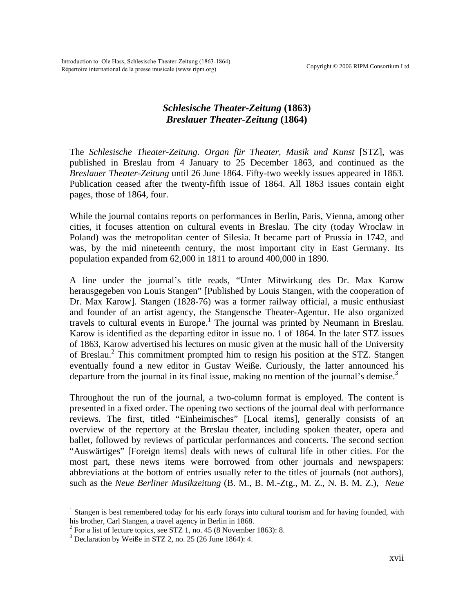Copyright © 2006 RIPM Consortium Ltd Introduction to: Ole Hass, Schlesische Theater-Zeitung (1863-1864) Répertoire international de la presse musicale (www.ripm.org)

## *Schlesische Theater-Zeitung* **(1863)** *Breslauer Theater-Zeitung* **(1864)**

The *Schlesische Theater-Zeitung. Organ für Theater, Musik und Kunst* [STZ], was published in Breslau from 4 January to 25 December 1863, and continued as the *Breslauer Theater-Zeitung* until 26 June 1864. Fifty-two weekly issues appeared in 1863. Publication ceased after the twenty-fifth issue of 1864. All 1863 issues contain eight pages, those of 1864, four.

While the journal contains reports on performances in Berlin, Paris, Vienna, among other cities, it focuses attention on cultural events in Breslau. The city (today Wroclaw in Poland) was the metropolitan center of Silesia. It became part of Prussia in 1742, and was, by the mid nineteenth century, the most important city in East Germany. Its population expanded from 62,000 in 1811 to around 400,000 in 1890.

A line under the journal's title reads, "Unter Mitwirkung des Dr. Max Karow herausgegeben von Louis Stangen" [Published by Louis Stangen, with the cooperation of Dr. Max Karow]. Stangen (1828-76) was a former railway official, a music enthusiast and founder of an artist agency, the Stangensche Theater-Agentur. He also organized travels to cultural events in Europe.<sup>[1](#page-0-0)</sup> The journal was printed by Neumann in Breslau. Karow is identified as the departing editor in issue no. 1 of 1864. In the later STZ issues of 1863, Karow advertised his lectures on music given at the music hall of the University ofBreslau.<sup>2</sup> This commitment prompted him to resign his position at the STZ. Stangen eventually found a new editor in Gustav Weiße. Curiously, the latter announced his departure from the journal in its final issue, making no mention of the journal's demise.<sup>[3](#page-0-2)</sup>

Throughout the run of the journal, a two-column format is employed. The content is presented in a fixed order. The opening two sections of the journal deal with performance reviews. The first, titled "Einheimisches" [Local items], generally consists of an overview of the repertory at the Breslau theater, including spoken theater, opera and ballet, followed by reviews of particular performances and concerts. The second section "Auswärtiges" [Foreign items] deals with news of cultural life in other cities. For the most part, these news items were borrowed from other journals and newspapers: abbreviations at the bottom of entries usually refer to the titles of journals (not authors), such as the *Neue Berliner Musikzeitung* (B. M., B. M.-Ztg., M. Z., N. B. M. Z.), *Neue* 

<span id="page-0-0"></span><sup>&</sup>lt;sup>1</sup> Stangen is best remembered today for his early forays into cultural tourism and for having founded, with his brother, Carl Stangen, a travel agency in Berlin in 1868.

<span id="page-0-1"></span> $2^2$  For a list of lecture topics, see STZ 1, no. 45 (8 November 1863): 8.

<span id="page-0-2"></span><sup>&</sup>lt;sup>3</sup> Declaration by Weiße in STZ 2, no. 25 (26 June 1864): 4.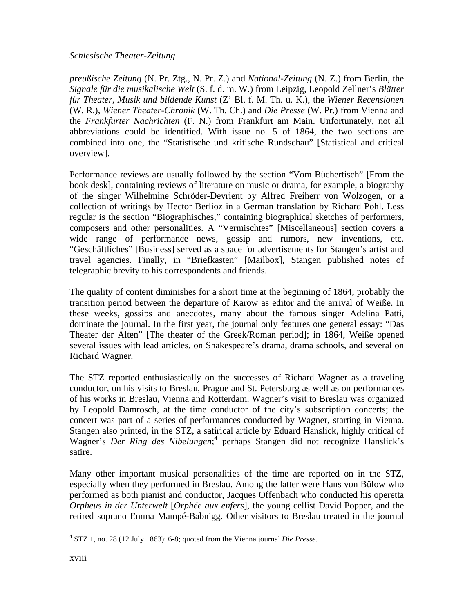*preußische Zeitung* (N. Pr. Ztg., N. Pr. Z.) and *National-Zeitung* (N. Z.) from Berlin, the *Signale für die musikalische Welt* (S. f. d. m. W.) from Leipzig, Leopold Zellner's *Blätter für Theater, Musik und bildende Kunst* (Z' Bl. f. M. Th. u. K.), the *Wiener Recensionen* (W. R.), *Wiener Theater-Chronik* (W. Th. Ch.) and *Die Presse* (W. Pr.) from Vienna and the *Frankfurter Nachrichten* (F. N.) from Frankfurt am Main. Unfortunately, not all abbreviations could be identified. With issue no. 5 of 1864, the two sections are combined into one, the "Statistische und kritische Rundschau" [Statistical and critical overview].

Performance reviews are usually followed by the section "Vom Büchertisch" [From the book desk], containing reviews of literature on music or drama, for example, a biography of the singer Wilhelmine Schröder-Devrient by Alfred Freiherr von Wolzogen, or a collection of writings by Hector Berlioz in a German translation by Richard Pohl. Less regular is the section "Biographisches," containing biographical sketches of performers, composers and other personalities. A "Vermischtes" [Miscellaneous] section covers a wide range of performance news, gossip and rumors, new inventions, etc. "Geschäftliches" [Business] served as a space for advertisements for Stangen's artist and travel agencies. Finally, in "Briefkasten" [Mailbox], Stangen published notes of telegraphic brevity to his correspondents and friends.

The quality of content diminishes for a short time at the beginning of 1864, probably the transition period between the departure of Karow as editor and the arrival of Weiße. In these weeks, gossips and anecdotes, many about the famous singer Adelina Patti, dominate the journal. In the first year, the journal only features one general essay: "Das Theater der Alten" [The theater of the Greek/Roman period]; in 1864, Weiße opened several issues with lead articles, on Shakespeare's drama, drama schools, and several on Richard Wagner.

The STZ reported enthusiastically on the successes of Richard Wagner as a traveling conductor, on his visits to Breslau, Prague and St. Petersburg as well as on performances of his works in Breslau, Vienna and Rotterdam. Wagner's visit to Breslau was organized by Leopold Damrosch, at the time conductor of the city's subscription concerts; the concert was part of a series of performances conducted by Wagner, starting in Vienna. Stangen also printed, in the STZ, a satirical article by Eduard Hanslick, highly critical of Wagner's *Der Ring des Nibelungen*;<sup>[4](#page-1-0)</sup> perhaps Stangen did not recognize Hanslick's satire.

Many other important musical personalities of the time are reported on in the STZ, especially when they performed in Breslau. Among the latter were Hans von Bülow who performed as both pianist and conductor, Jacques Offenbach who conducted his operetta *Orpheus in der Unterwelt* [*Orphée aux enfers*], the young cellist David Popper, and the retired soprano Emma Mampé-Babnigg. Other visitors to Breslau treated in the journal

<span id="page-1-0"></span><sup>4</sup> STZ 1, no. 28 (12 July 1863): 6-8; quoted from the Vienna journal *Die Presse*.